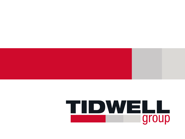### TIDWELL **I** group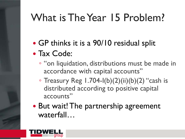## What is The Year 15 Problem?

GP thinks it is a 90/10 residual split

### Tax Code:

- "on liquidation, distributions must be made in accordance with capital accounts"
- $\circ$  Treasury Reg 1.704-I(b)(2)(ii)(b)(2) "cash is distributed according to positive capital accounts"
- But wait! The partnership agreement waterfall…

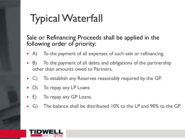# Typical Waterfall

#### Sale or Refinancing Proceeds shall be applied in the following order of priority:

- A) To the payment of all expenses of such sale or refinancing.
- B) To the payment of all debts and obligations of the partnership other than amounts owed to Partners.
- C) To establish any Reserves reasonably required by the GP.
- D) To repay any LP Loans.
- E) To repay any GP Loans.
- G) The balance shall be distributed 10% to the LP and 90% to the GP.

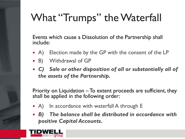# What "Trumps" the Waterfall

Events which cause a Dissolution of the Partnership shall include:

- A) Election made by the GP with the consent of the LP
- B) Withdrawal of GP
- *C) Sale or other disposition of all or substantially all of the assets of the Partnership.*

Priority on Liquidation – To extent proceeds are sufficient, they shall be applied in the following order:

- A) In accordance with waterfall A through E
- *B) The balance shall be distributed in accordance with positive Capital Accounts.*

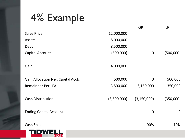### 4% Example

|                                          |             | <b>GP</b>     | <b>LP</b>   |
|------------------------------------------|-------------|---------------|-------------|
| <b>Sales Price</b>                       | 12,000,000  |               |             |
| Assets                                   | 8,000,000   |               |             |
| Debt                                     | 8,500,000   |               |             |
| Capital Account                          | (500,000)   | $\mathbf 0$   | (500,000)   |
| Gain                                     | 4,000,000   |               |             |
| <b>Gain Allocation Neg Capital Accts</b> | 500,000     | $\mathbf 0$   | 500,000     |
| Remainder Per LPA                        | 3,500,000   | 3,150,000     | 350,000     |
| <b>Cash Distribution</b>                 | (3,500,000) | (3, 150, 000) | (350,000)   |
| <b>Ending Capital Account</b>            |             | $\mathbf 0$   | $\mathbf 0$ |
| Cash Split                               |             | 90%           | 10%         |
| ID<br>group                              |             |               |             |